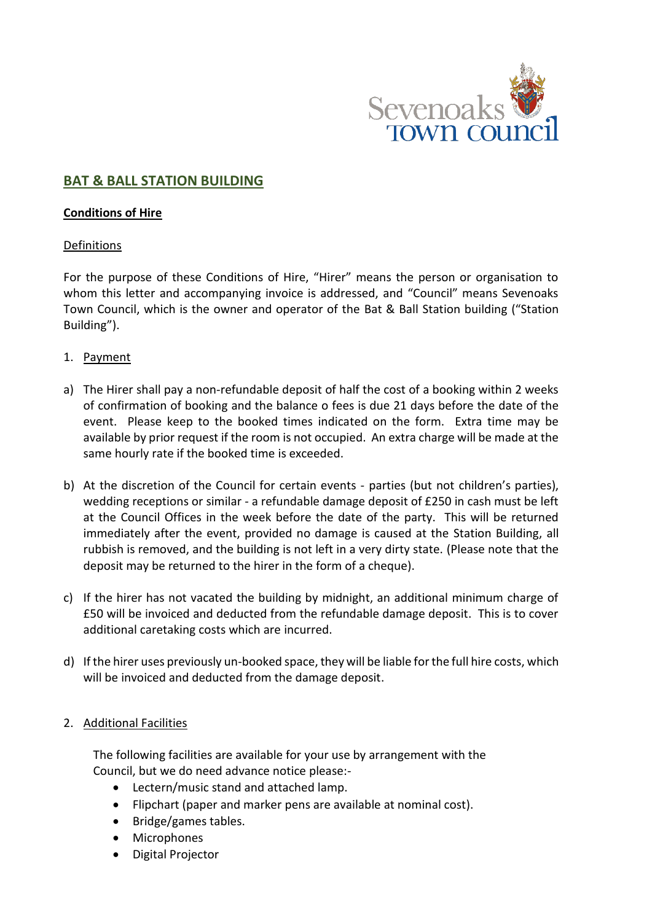

# **BAT & BALL STATION BUILDING**

#### **Conditions of Hire**

### Definitions

For the purpose of these Conditions of Hire, "Hirer" means the person or organisation to whom this letter and accompanying invoice is addressed, and "Council" means Sevenoaks Town Council, which is the owner and operator of the Bat & Ball Station building ("Station Building").

- 1. Payment
- a) The Hirer shall pay a non-refundable deposit of half the cost of a booking within 2 weeks of confirmation of booking and the balance o fees is due 21 days before the date of the event. Please keep to the booked times indicated on the form. Extra time may be available by prior request if the room is not occupied. An extra charge will be made at the same hourly rate if the booked time is exceeded.
- b) At the discretion of the Council for certain events parties (but not children's parties), wedding receptions or similar - a refundable damage deposit of £250 in cash must be left at the Council Offices in the week before the date of the party. This will be returned immediately after the event, provided no damage is caused at the Station Building, all rubbish is removed, and the building is not left in a very dirty state. (Please note that the deposit may be returned to the hirer in the form of a cheque).
- c) If the hirer has not vacated the building by midnight, an additional minimum charge of £50 will be invoiced and deducted from the refundable damage deposit. This is to cover additional caretaking costs which are incurred.
- d) If the hirer uses previously un-booked space, they will be liable for the full hire costs, which will be invoiced and deducted from the damage deposit.

### 2. Additional Facilities

The following facilities are available for your use by arrangement with the Council, but we do need advance notice please:-

- Lectern/music stand and attached lamp.
- Flipchart (paper and marker pens are available at nominal cost).
- Bridge/games tables.
- Microphones
- Digital Projector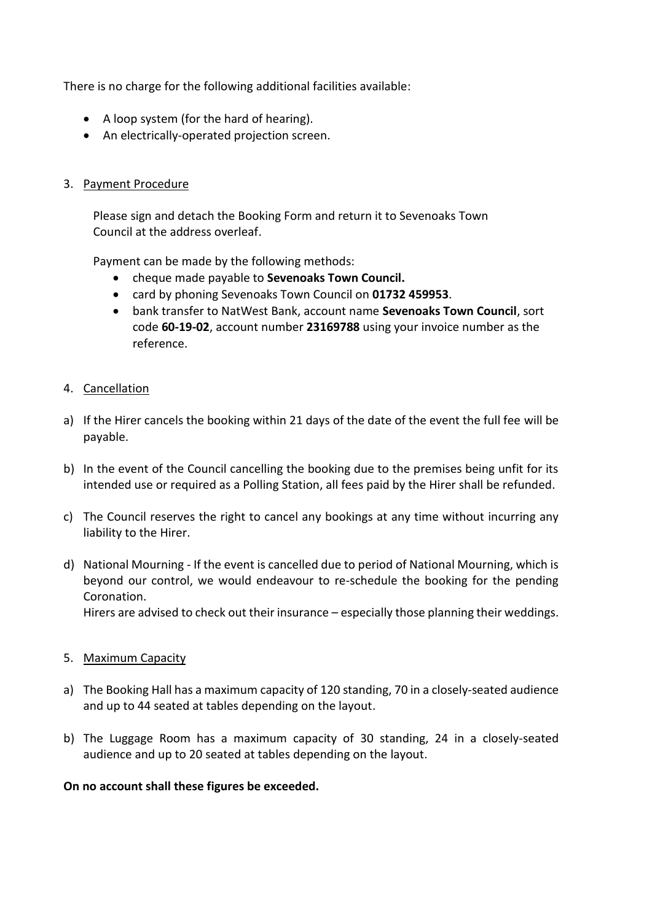There is no charge for the following additional facilities available:

- A loop system (for the hard of hearing).
- An electrically-operated projection screen.

### 3. Payment Procedure

Please sign and detach the Booking Form and return it to Sevenoaks Town Council at the address overleaf.

Payment can be made by the following methods:

- cheque made payable to **Sevenoaks Town Council.**
- card by phoning Sevenoaks Town Council on **01732 459953**.
- bank transfer to NatWest Bank, account name **Sevenoaks Town Council**, sort code **60-19-02**, account number **23169788** using your invoice number as the reference.

### 4. Cancellation

- a) If the Hirer cancels the booking within 21 days of the date of the event the full fee will be payable.
- b) In the event of the Council cancelling the booking due to the premises being unfit for its intended use or required as a Polling Station, all fees paid by the Hirer shall be refunded.
- c) The Council reserves the right to cancel any bookings at any time without incurring any liability to the Hirer.
- d) National Mourning If the event is cancelled due to period of National Mourning, which is beyond our control, we would endeavour to re-schedule the booking for the pending Coronation.

Hirers are advised to check out their insurance – especially those planning their weddings.

### 5. Maximum Capacity

- a) The Booking Hall has a maximum capacity of 120 standing, 70 in a closely-seated audience and up to 44 seated at tables depending on the layout.
- b) The Luggage Room has a maximum capacity of 30 standing, 24 in a closely-seated audience and up to 20 seated at tables depending on the layout.

### **On no account shall these figures be exceeded.**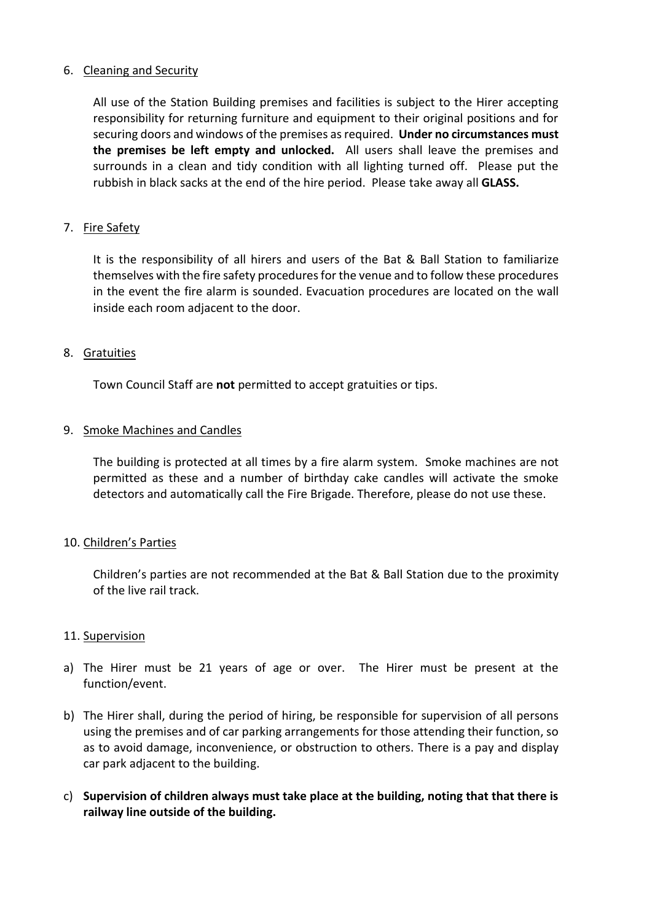### 6. Cleaning and Security

All use of the Station Building premises and facilities is subject to the Hirer accepting responsibility for returning furniture and equipment to their original positions and for securing doors and windows of the premises as required. **Under no circumstances must the premises be left empty and unlocked.** All users shall leave the premises and surrounds in a clean and tidy condition with all lighting turned off. Please put the rubbish in black sacks at the end of the hire period. Please take away all **GLASS.**

# 7. Fire Safety

It is the responsibility of all hirers and users of the Bat & Ball Station to familiarize themselves with the fire safety procedures for the venue and to follow these procedures in the event the fire alarm is sounded. Evacuation procedures are located on the wall inside each room adjacent to the door.

# 8. Gratuities

Town Council Staff are **not** permitted to accept gratuities or tips.

# 9. Smoke Machines and Candles

The building is protected at all times by a fire alarm system. Smoke machines are not permitted as these and a number of birthday cake candles will activate the smoke detectors and automatically call the Fire Brigade. Therefore, please do not use these.

### 10. Children's Parties

Children's parties are not recommended at the Bat & Ball Station due to the proximity of the live rail track.

### 11. Supervision

- a) The Hirer must be 21 years of age or over. The Hirer must be present at the function/event.
- b) The Hirer shall, during the period of hiring, be responsible for supervision of all persons using the premises and of car parking arrangements for those attending their function, so as to avoid damage, inconvenience, or obstruction to others. There is a pay and display car park adjacent to the building.
- c) **Supervision of children always must take place at the building, noting that that there is railway line outside of the building.**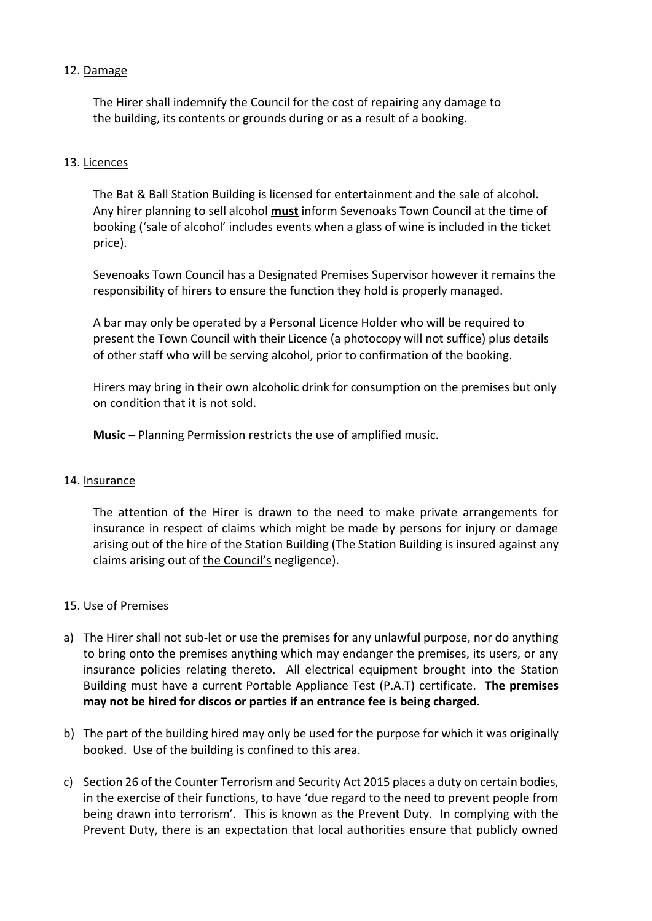# 12. Damage

The Hirer shall indemnify the Council for the cost of repairing any damage to the building, its contents or grounds during or as a result of a booking.

## 13. Licences

The Bat & Ball Station Building is licensed for entertainment and the sale of alcohol. Any hirer planning to sell alcohol **must** inform Sevenoaks Town Council at the time of booking ('sale of alcohol' includes events when a glass of wine is included in the ticket price).

Sevenoaks Town Council has a Designated Premises Supervisor however it remains the responsibility of hirers to ensure the function they hold is properly managed.

A bar may only be operated by a Personal Licence Holder who will be required to present the Town Council with their Licence (a photocopy will not suffice) plus details of other staff who will be serving alcohol, prior to confirmation of the booking.

Hirers may bring in their own alcoholic drink for consumption on the premises but only on condition that it is not sold.

**Music –** Planning Permission restricts the use of amplified music.

### 14. Insurance

The attention of the Hirer is drawn to the need to make private arrangements for insurance in respect of claims which might be made by persons for injury or damage arising out of the hire of the Station Building (The Station Building is insured against any claims arising out of the Council's negligence).

### 15. Use of Premises

- a) The Hirer shall not sub-let or use the premises for any unlawful purpose, nor do anything to bring onto the premises anything which may endanger the premises, its users, or any insurance policies relating thereto. All electrical equipment brought into the Station Building must have a current Portable Appliance Test (P.A.T) certificate. **The premises may not be hired for discos or parties if an entrance fee is being charged.**
- b) The part of the building hired may only be used for the purpose for which it was originally booked. Use of the building is confined to this area.
- c) Section 26 of the Counter Terrorism and Security Act 2015 places a duty on certain bodies, in the exercise of their functions, to have 'due regard to the need to prevent people from being drawn into terrorism'. This is known as the Prevent Duty. In complying with the Prevent Duty, there is an expectation that local authorities ensure that publicly owned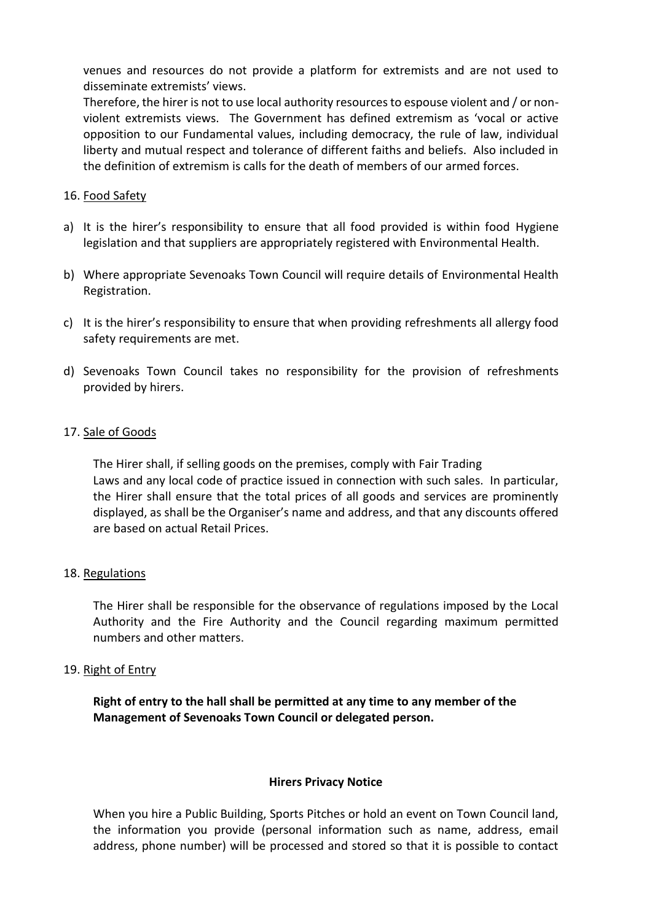venues and resources do not provide a platform for extremists and are not used to disseminate extremists' views.

Therefore, the hirer is not to use local authority resources to espouse violent and / or nonviolent extremists views. The Government has defined extremism as 'vocal or active opposition to our Fundamental values, including democracy, the rule of law, individual liberty and mutual respect and tolerance of different faiths and beliefs. Also included in the definition of extremism is calls for the death of members of our armed forces.

#### 16. Food Safety

- a) It is the hirer's responsibility to ensure that all food provided is within food Hygiene legislation and that suppliers are appropriately registered with Environmental Health.
- b) Where appropriate Sevenoaks Town Council will require details of Environmental Health Registration.
- c) It is the hirer's responsibility to ensure that when providing refreshments all allergy food safety requirements are met.
- d) Sevenoaks Town Council takes no responsibility for the provision of refreshments provided by hirers.

#### 17. Sale of Goods

The Hirer shall, if selling goods on the premises, comply with Fair Trading Laws and any local code of practice issued in connection with such sales. In particular, the Hirer shall ensure that the total prices of all goods and services are prominently displayed, as shall be the Organiser's name and address, and that any discounts offered are based on actual Retail Prices.

#### 18. Regulations

The Hirer shall be responsible for the observance of regulations imposed by the Local Authority and the Fire Authority and the Council regarding maximum permitted numbers and other matters.

#### 19. Right of Entry

**Right of entry to the hall shall be permitted at any time to any member of the Management of Sevenoaks Town Council or delegated person.**

#### **Hirers Privacy Notice**

When you hire a Public Building, Sports Pitches or hold an event on Town Council land, the information you provide (personal information such as name, address, email address, phone number) will be processed and stored so that it is possible to contact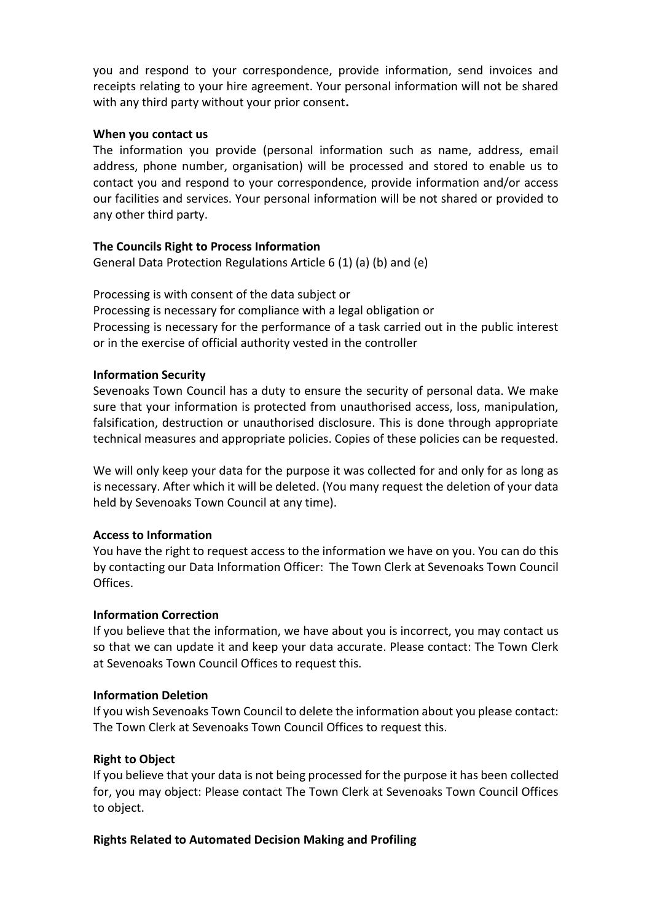you and respond to your correspondence, provide information, send invoices and receipts relating to your hire agreement. Your personal information will not be shared with any third party without your prior consent**.**

### **When you contact us**

The information you provide (personal information such as name, address, email address, phone number, organisation) will be processed and stored to enable us to contact you and respond to your correspondence, provide information and/or access our facilities and services. Your personal information will be not shared or provided to any other third party.

# **The Councils Right to Process Information**

General Data Protection Regulations Article 6 (1) (a) (b) and (e)

Processing is with consent of the data subject or Processing is necessary for compliance with a legal obligation or Processing is necessary for the performance of a task carried out in the public interest or in the exercise of official authority vested in the controller

# **Information Security**

Sevenoaks Town Council has a duty to ensure the security of personal data. We make sure that your information is protected from unauthorised access, loss, manipulation, falsification, destruction or unauthorised disclosure. This is done through appropriate technical measures and appropriate policies. Copies of these policies can be requested.

We will only keep your data for the purpose it was collected for and only for as long as is necessary. After which it will be deleted. (You many request the deletion of your data held by Sevenoaks Town Council at any time).

### **Access to Information**

You have the right to request access to the information we have on you. You can do this by contacting our Data Information Officer: The Town Clerk at Sevenoaks Town Council Offices.

### **Information Correction**

If you believe that the information, we have about you is incorrect, you may contact us so that we can update it and keep your data accurate. Please contact: The Town Clerk at Sevenoaks Town Council Offices to request this.

### **Information Deletion**

If you wish Sevenoaks Town Council to delete the information about you please contact: The Town Clerk at Sevenoaks Town Council Offices to request this.

# **Right to Object**

If you believe that your data is not being processed for the purpose it has been collected for, you may object: Please contact The Town Clerk at Sevenoaks Town Council Offices to object.

# **Rights Related to Automated Decision Making and Profiling**